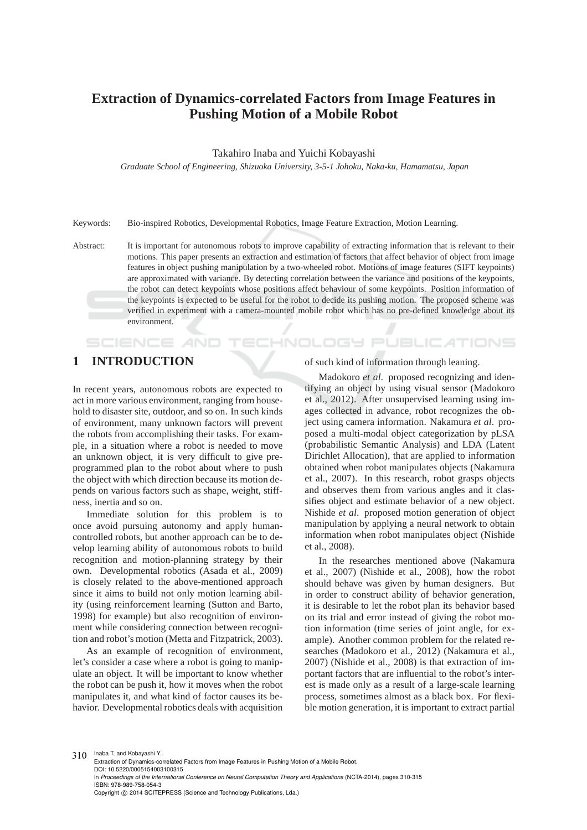# **Extraction of Dynamics-correlated Factors from Image Features in Pushing Motion of a Mobile Robot**

#### Takahiro Inaba and Yuichi Kobayashi

*Graduate School of Engineering, Shizuoka University, 3-5-1 Johoku, Naka-ku, Hamamatsu, Japan*

Keywords: Bio-inspired Robotics, Developmental Robotics, Image Feature Extraction, Motion Learning.

Abstract: It is important for autonomous robots to improve capability of extracting information that is relevant to their motions. This paper presents an extraction and estimation of factors that affect behavior of object from image features in object pushing manipulation by a two-wheeled robot. Motions of image features (SIFT keypoints) are approximated with variance. By detecting correlation between the variance and positions of the keypoints, the robot can detect keypoints whose positions affect behaviour of some keypoints. Position information of the keypoints is expected to be useful for the robot to decide its pushing motion. The proposed scheme was verified in experiment with a camera-mounted mobile robot which has no pre-defined knowledge about its environment.

<u>INOLOGY</u>

# **1 INTRODUCTION**

SCIENCE

In recent years, autonomous robots are expected to act in more various environment, ranging from household to disaster site, outdoor, and so on. In such kinds of environment, many unknown factors will prevent the robots from accomplishing their tasks. For example, in a situation where a robot is needed to move an unknown object, it is very difficult to give preprogrammed plan to the robot about where to push the object with which direction because its motion depends on various factors such as shape, weight, stiffness, inertia and so on.

Immediate solution for this problem is to once avoid pursuing autonomy and apply humancontrolled robots, but another approach can be to develop learning ability of autonomous robots to build recognition and motion-planning strategy by their own. Developmental robotics (Asada et al., 2009) is closely related to the above-mentioned approach since it aims to build not only motion learning ability (using reinforcement learning (Sutton and Barto, 1998) for example) but also recognition of environment while considering connection between recognition and robot's motion (Metta and Fitzpatrick, 2003).

As an example of recognition of environment, let's consider a case where a robot is going to manipulate an object. It will be important to know whether the robot can be push it, how it moves when the robot manipulates it, and what kind of factor causes its behavior. Developmental robotics deals with acquisition

#### of such kind of information through leaning.

JBLIC ATIONS

Madokoro *et al*. proposed recognizing and identifying an object by using visual sensor (Madokoro et al., 2012). After unsupervised learning using images collected in advance, robot recognizes the object using camera information. Nakamura *et al*. proposed a multi-modal object categorization by pLSA (probabilistic Semantic Analysis) and LDA (Latent Dirichlet Allocation), that are applied to information obtained when robot manipulates objects (Nakamura et al., 2007). In this research, robot grasps objects and observes them from various angles and it classifies object and estimate behavior of a new object. Nishide *et al*. proposed motion generation of object manipulation by applying a neural network to obtain information when robot manipulates object (Nishide et al., 2008).

In the researches mentioned above (Nakamura et al., 2007) (Nishide et al., 2008), how the robot should behave was given by human designers. But in order to construct ability of behavior generation, it is desirable to let the robot plan its behavior based on its trial and error instead of giving the robot motion information (time series of joint angle, for example). Another common problem for the related researches (Madokoro et al., 2012) (Nakamura et al., 2007) (Nishide et al., 2008) is that extraction of important factors that are influential to the robot's interest is made only as a result of a large-scale learning process, sometimes almost as a black box. For flexible motion generation, it is important to extract partial

310 Inaba T. and Kobayashi Y..

Extraction of Dynamics-correlated Factors from Image Features in Pushing Motion of a Mobile Robot. DOI: 10.5220/0005154003100315 In *Proceedings of the International Conference on Neural Computation Theory and Applications* (NCTA-2014), pages 310-315 ISBN: 978-989-758-054-3 Copyright © 2014 SCITEPRESS (Science and Technology Publications, Lda.)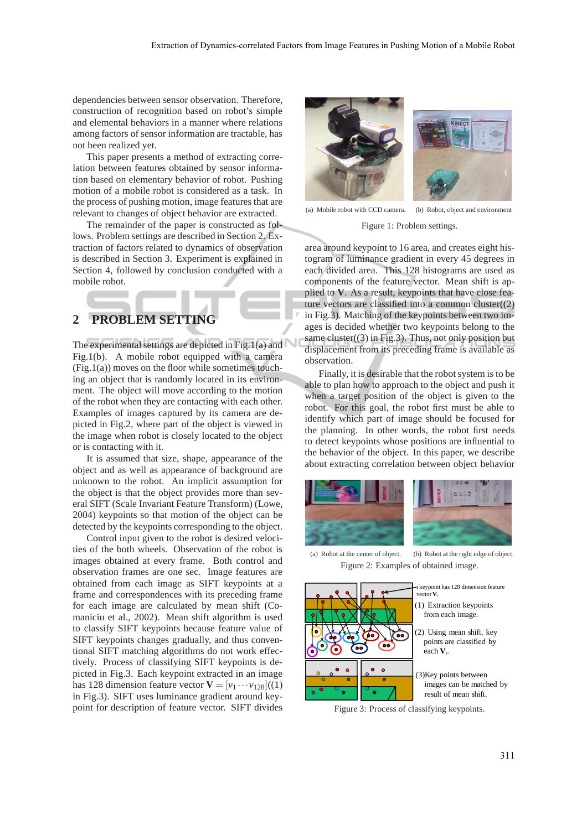dependencies between sensor observation. Therefore, construction of recognition based on robot's simple and elemental behaviors in a manner where relations among factors of sensor information are tractable, has not been realized yet.

This paper presents a method of extracting correlation between features obtained by sensor information based on elementary behavior of robot. Pushing motion of a mobile robot is considered as a task. In the process of pushing motion, image features that are relevant to changes of object behavior are extracted.

The remainder of the paper is constructed as follows. Problem settings are described in Section 2. Extraction of factors related to dynamics of observation is described in Section 3. Experiment is explained in Section 4, followed by conclusion conducted with a mobile robot.

## **2 PROBLEM SETTING**

The experimental settings are depicted in Fig.1(a) and Fig.1(b). A mobile robot equipped with a camera  $(Fig.1(a))$  moves on the floor while sometimes touching an object that is randomly located in its environment. The object will move according to the motion of the robot when they are contacting with each other. Examples of images captured by its camera are depicted in Fig.2, where part of the object is viewed in the image when robot is closely located to the object or is contacting with it.

It is assumed that size, shape, appearance of the object and as well as appearance of background are unknown to the robot. An implicit assumption for the object is that the object provides more than several SIFT (Scale Invariant Feature Transform) (Lowe, 2004) keypoints so that motion of the object can be detected by the keypoints corresponding to the object.

Control input given to the robot is desired velocities of the both wheels. Observation of the robot is images obtained at every frame. Both control and observation frames are one sec. Image features are obtained from each image as SIFT keypoints at a frame and correspondences with its preceding frame for each image are calculated by mean shift (Comaniciu et al., 2002). Mean shift algorithm is used to classify SIFT keypoints because feature value of SIFT keypoints changes gradually, and thus conventional SIFT matching algorithms do not work effectively. Process of classifying SIFT keypoints is depicted in Fig.3. Each keypoint extracted in an image has 128 dimension feature vector  $\mathbf{V} = [v_1 \cdots v_{128}]$  ((1) in Fig.3). SIFT uses luminance gradient around keypoint for description of feature vector. SIFT divides



(a) Mobile robot with CCD camera. (b) Robot, object and environment Figure 1: Problem settings.

area around keypoint to 16 area, and creates eight histogram of luminance gradient in every 45 degrees in each divided area. This 128 histograms are used as components of the feature vector. Mean shift is applied to **V**. As a result, keypoints that have close feature vectors are classified into a common cluster $(2)$ in Fig.3). Matching of the keypoints between two images is decided whether two keypoints belong to the

same cluster( $(3)$  in Fig.3). Thus, not only position but displacement from its preceding frame is available as observation.

Finally, it is desirable that the robot system is to be able to plan how to approach to the object and push it when a target position of the object is given to the robot. For this goal, the robot first must be able to identify which part of image should be focused for the planning. In other words, the robot first needs to detect keypoints whose positions are influential to the behavior of the object. In this paper, we describe about extracting correlation between object behavior





(a) Robot at the center of object. (b) Robot at the right edge of object. Figure 2: Examples of obtained image.



Figure 3: Process of classifying keypoints.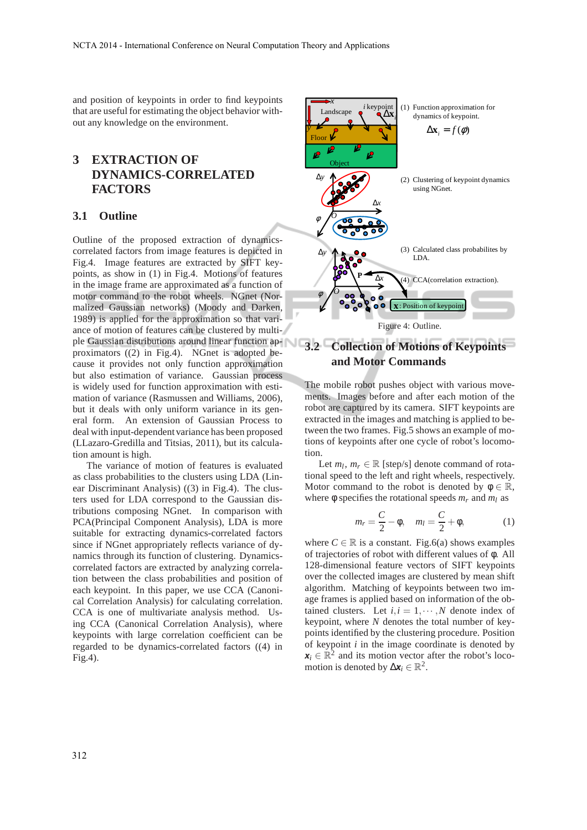and position of keypoints in order to find keypoints that are useful for estimating the object behavior without any knowledge on the environment.

## **3 EXTRACTION OF DYNAMICS-CORRELATED FACTORS**

#### **3.1 Outline**

Outline of the proposed extraction of dynamicscorrelated factors from image features is depicted in Fig.4. Image features are extracted by SIFT keypoints, as show in (1) in Fig.4. Motions of features in the image frame are approximated as a function of motor command to the robot wheels. NGnet (Normalized Gaussian networks) (Moody and Darken, 1989) is applied for the approximation so that variance of motion of features can be clustered by multiple Gaussian distributions around linear function ap-**3.2 Collection of Motions of Keypoints** proximators ((2) in Fig.4). NGnet is adopted because it provides not only function approximation but also estimation of variance. Gaussian process is widely used for function approximation with estimation of variance (Rasmussen and Williams, 2006), but it deals with only uniform variance in its general form. An extension of Gaussian Process to deal with input-dependent variance has been proposed (LLazaro-Gredilla and Titsias, 2011), but its calculation amount is high.

The variance of motion of features is evaluated as class probabilities to the clusters using LDA (Linear Discriminant Analysis) ((3) in Fig.4). The clusters used for LDA correspond to the Gaussian distributions composing NGnet. In comparison with PCA(Principal Component Analysis), LDA is more suitable for extracting dynamics-correlated factors since if NGnet appropriately reflects variance of dynamics through its function of clustering. Dynamicscorrelated factors are extracted by analyzing correlation between the class probabilities and position of each keypoint. In this paper, we use CCA (Canonical Correlation Analysis) for calculating correlation. CCA is one of multivariate analysis method. Using CCA (Canonical Correlation Analysis), where keypoints with large correlation coefficient can be regarded to be dynamics-correlated factors ((4) in Fig.4).



# **and Motor Commands**

The mobile robot pushes object with various movements. Images before and after each motion of the robot are captured by its camera. SIFT keypoints are extracted in the images and matching is applied to between the two frames. Fig.5 shows an example of motions of keypoints after one cycle of robot's locomotion.

Let  $m_l$ ,  $m_r \in \mathbb{R}$  [step/s] denote command of rotational speed to the left and right wheels, respectively. Motor command to the robot is denoted by  $\phi \in \mathbb{R}$ , where  $\phi$  specifies the rotational speeds  $m_r$  and  $m_l$  as

$$
m_r = \frac{C}{2} - \phi, \quad m_l = \frac{C}{2} + \phi,\tag{1}
$$

where  $C \in \mathbb{R}$  is a constant. Fig.6(a) shows examples of trajectories of robot with different values of φ. All 128-dimensional feature vectors of SIFT keypoints over the collected images are clustered by mean shift algorithm. Matching of keypoints between two image frames is applied based on information of the obtained clusters. Let  $i, i = 1, \dots, N$  denote index of keypoint, where *N* denotes the total number of keypoints identified by the clustering procedure. Position of keypoint *i* in the image coordinate is denoted by  $x_i \in \mathbb{R}^2$  and its motion vector after the robot's locomotion is denoted by  $\Delta x_i \in \mathbb{R}^2$ .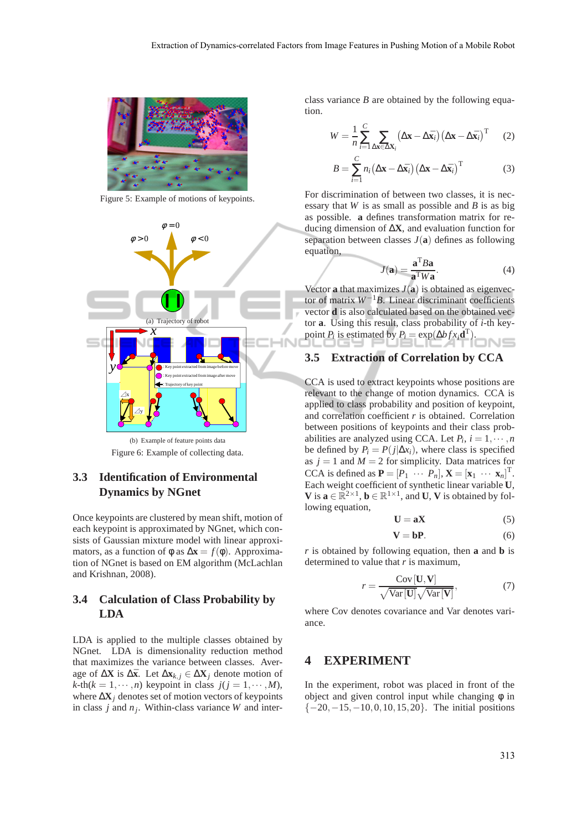

Figure 5: Example of motions of keypoints.



(b) Example of feature points data Figure 6: Example of collecting data.

## **3.3 Identification of Environmental Dynamics by NGnet**

Once keypoints are clustered by mean shift, motion of each keypoint is approximated by NGnet, which consists of Gaussian mixture model with linear approximators, as a function of  $\phi$  as  $\Delta x = f(\phi)$ . Approximation of NGnet is based on EM algorithm (McLachlan and Krishnan, 2008).

## **3.4 Calculation of Class Probability by LDA**

LDA is applied to the multiple classes obtained by NGnet. LDA is dimensionality reduction method that maximizes the variance between classes. Average of  $\Delta$ **X** is  $\Delta$ **x**<sub>*k*</sub>. Let  $\Delta$ **x**<sub>*k*, *j*</u> ∈  $\Delta$ **X***j* denote motion of</sub>  $k$ -th $(k = 1, \dots, n)$  keypoint in class  $j(j = 1, \dots, M)$ , where ∆**X***<sup>j</sup>* denotes set of motion vectors of keypoints in class *j* and *n<sup>j</sup>* . Within-class variance *W* and interclass variance *B* are obtained by the following equation.

$$
W = \frac{1}{n} \sum_{i=1}^{C} \sum_{\Delta \mathbf{x} \in \Delta \mathbf{X}_i} (\Delta \mathbf{x} - \Delta \bar{\mathbf{x}}_i) (\Delta \mathbf{x} - \Delta \bar{\mathbf{x}}_i)^{\mathrm{T}} \tag{2}
$$

$$
B = \sum_{i=1}^{C} n_i (\Delta \mathbf{x} - \Delta \bar{\mathbf{x}}_i) (\Delta \mathbf{x} - \Delta \bar{\mathbf{x}}_i)^{\mathrm{T}}
$$
(3)

For discrimination of between two classes, it is necessary that *W* is as small as possible and *B* is as big as possible. **a** defines transformation matrix for reducing dimension of ∆**X**, and evaluation function for separation between classes  $J(\mathbf{a})$  defines as following equation,

$$
J(\mathbf{a}) = \frac{\mathbf{a}^{\mathrm{T}} B \mathbf{a}}{\mathbf{a}^{\mathrm{T}} W \mathbf{a}}.
$$
 (4)

Vector **a** that maximizes  $J(\mathbf{a})$  is obtained as eigenvector of matrix *W*−1*B*. Linear discriminant coefficients vector **d** is also calculated based on the obtained vector **a**. Using this result, class probability of *i*-th keypoint *P*<sup>*i*</sup> is estimated by  $P_i = \exp(\Delta bf x_i \mathbf{d}^T)$ .

#### **3.5 Extraction of Correlation by CCA**

CCA is used to extract keypoints whose positions are relevant to the change of motion dynamics. CCA is applied to class probability and position of keypoint, and correlation coefficient *r* is obtained. Correlation between positions of keypoints and their class probabilities are analyzed using CCA. Let  $P_i$ ,  $i = 1, \dots, n$ be defined by  $P_i = P(j|\Delta x_i)$ , where class is specified as  $j = 1$  and  $M = 2$  for simplicity. Data matrices for CCA is defined as  $\mathbf{P} = [P_1 \cdots P_n], \mathbf{X} = [\mathbf{x}_1 \cdots \mathbf{x}_n]^T$ . Each weight coefficient of synthetic linear variable **U**, **V** is  $\mathbf{a} \in \mathbb{R}^{2 \times 1}$ ,  $\mathbf{b} \in \mathbb{R}^{1 \times 1}$ , and **U**, **V** is obtained by following equation,

$$
U = aX \tag{5}
$$

$$
V = bP.
$$
 (6)

*r* is obtained by following equation, then **a** and **b** is determined to value that *r* is maximum,

$$
r = \frac{\text{Cov}[\mathbf{U}, \mathbf{V}]}{\sqrt{\text{Var}[\mathbf{U}]}\sqrt{\text{Var}[\mathbf{V}]}},
$$
(7)

where Cov denotes covariance and Var denotes variance.

### **4 EXPERIMENT**

In the experiment, robot was placed in front of the object and given control input while changing  $\phi$  in  $\{-20, -15, -10, 0, 10, 15, 20\}$ . The initial positions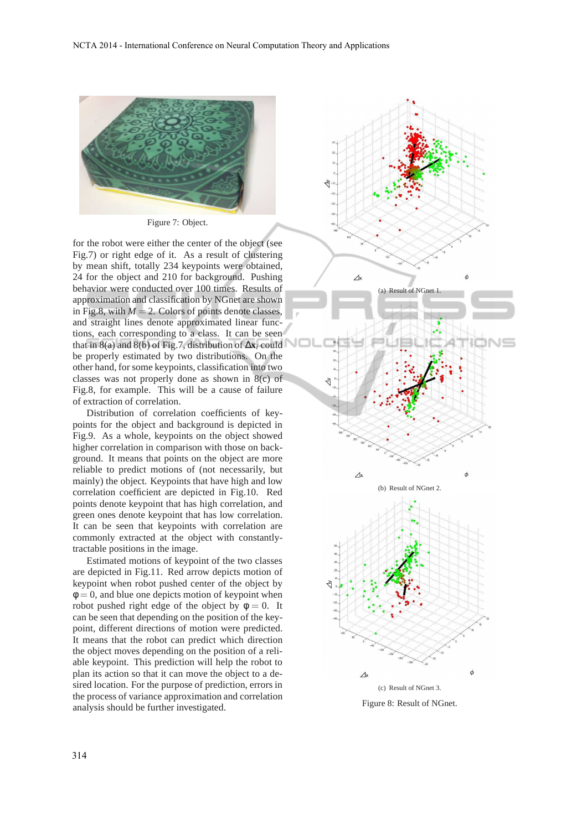

Figure 7: Object.

for the robot were either the center of the object (see Fig.7) or right edge of it. As a result of clustering by mean shift, totally 234 keypoints were obtained, 24 for the object and 210 for background. Pushing behavior were conducted over 100 times. Results of approximation and classification by NGnet are shown in Fig.8, with  $M = 2$ . Colors of points denote classes, and straight lines denote approximated linear functions, each corresponding to a class. It can be seen that in 8(a) and 8(b) of Fig.7, distribution of ∆**x***<sup>i</sup>* could be properly estimated by two distributions. On the other hand, for some keypoints, classification into two classes was not properly done as shown in 8(c) of Fig.8, for example. This will be a cause of failure of extraction of correlation.

Distribution of correlation coefficients of keypoints for the object and background is depicted in Fig.9. As a whole, keypoints on the object showed higher correlation in comparison with those on background. It means that points on the object are more reliable to predict motions of (not necessarily, but mainly) the object. Keypoints that have high and low correlation coefficient are depicted in Fig.10. Red points denote keypoint that has high correlation, and green ones denote keypoint that has low correlation. It can be seen that keypoints with correlation are commonly extracted at the object with constantlytractable positions in the image.

Estimated motions of keypoint of the two classes are depicted in Fig.11. Red arrow depicts motion of keypoint when robot pushed center of the object by  $\phi = 0$ , and blue one depicts motion of keypoint when robot pushed right edge of the object by  $\phi = 0$ . It can be seen that depending on the position of the keypoint, different directions of motion were predicted. It means that the robot can predict which direction the object moves depending on the position of a reliable keypoint. This prediction will help the robot to plan its action so that it can move the object to a desired location. For the purpose of prediction, errors in the process of variance approximation and correlation analysis should be further investigated.



Figure 8: Result of NGnet.